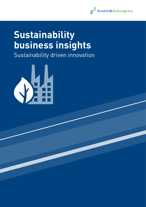

# **Sustainability business insights**

Sustainability driven innovation

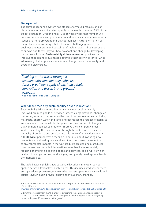## **Background**

The current economic system has placed enormous pressure on our planet's resources while catering only to the needs of around 25% of the global population. Over the next 10 to 15 years twice that number will become consumers and producers. In addition, social and environmental issues are more prevalent and critical than ever. A transformation of the global economy is expected. These are challenging times to run a business and generate and sustain profitable growth. If businesses are to survive and thrive they will have to adapt and change by developing innovative solutions. **Sustainability driven innovation** provides the impetus that can help businesses optimise their growth potential while addressing challenges such as climate change, resource scarcity, and depleting biodiversity.

*"Looking at the world through a sustainability lens not only helps us 'future proof' our supply chain, it also fuels innovation and drives brand growth."*

Paul Polman Vice-Chair of the U.N. Global Compact

# What do we mean by sustainability driven innovation?

Sustainability driven innovation means any new or significantly improved product, goods or services, process, organisational change or marketing solution, that reduces the use of natural resources (including materials, energy, water and land) and decreases the release of harmful substances across the whole lifecycle<sup>1</sup>. It is the creation of changes that can help businesses create or improve their competitiveness, while respecting the environment through the reduction of resource intensity of products and services. As this genre of innovation takes a full **lifecycle**<sup>2</sup> perspective it means it is not just about inventing new products and delivering new services. It encompasses the reduction of environmental impacts in the way products are designed, produced, used, reused and recycled. Innovation can either be incremental, focusing on improving existing goods and services, or disruptive which is about thinking creatively and bringing completely novel approaches to the marketplace.

The table below highlights how sustainability-driven innovation can be applied across different levels of business. This includes products, services and operational processes, to the way its markets operate at a strategic and tactical level, including revolutionary and evolutionary changes.

1. EIO 2010: Eco-innovation Observatory Annual Report 2010. Pathways to a resourceefficient Europe,

[www.eco-innovation.eu/index.php?option=com\\_content&view=article&id=200&Itemid=258](https://www.eco-innovation.eu/?option=com_content&view=article&id=200&Itemid=258)

2. Life Cycle Assessment (LCA) is a tool to determine the environmental impact of a product or system across its whole life from production through use and to recycling, reuse or disposal (from cradle to the grave).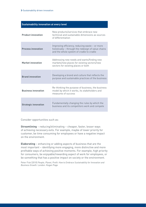#### **Sustainability innovation at every level**

| <b>Product innovation</b>   | New products/services that embrace new<br>technical and sustainable dimensions as sources<br>of differentiation                                   |
|-----------------------------|---------------------------------------------------------------------------------------------------------------------------------------------------|
| <b>Process innovation</b>   | Improving efficiency, reducing waste - or more<br>holistically - through the redesign of value chains<br>and the whole system of cradle to cradle |
| <b>Market innovation</b>    | Addressing new needs and wants/finding new<br>markets/new places for existing sectors/new<br>sectors for existing places or both                  |
| <b>Brand innovation</b>     | Developing a brand and culture that reflects the<br>purpose and sustainable practices of the business                                             |
| <b>Business innovation</b>  | Re-thinking the purpose of business, the business<br>model by which it works, its stakeholders and<br>measures of success                         |
| <b>Strategic innovation</b> | Fundamentally changing the rules by which the<br>business and its competitors work and compete                                                    |

Consider opportunities such as:

**Streamlining** – reducing/eliminating – cheaper, faster, lesser ways of achieving necessary evils. For example, maybe of lower priority for customer, be time consuming for employees or have a negative impact on the environment.

**Elaborating** – enhancing or adding aspects of business that are the most important – identifying more engaging, more distinctive and more profitable ways of achieving positive moments. For example, high priority for consumers, be enjoyable/rewarding aspect of work for employees, or be something that has a positive impact on society or the environment.

Peter Fisk (2010) *People, Planet, Profit: How to Embrace Sustainability for Innovation and Business Growth.* London: Kogan Page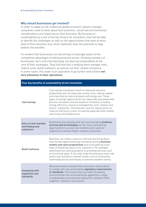# Why should businesses get involved?

In order to adapt as the traditional global economic system changes, companies need to think about how economic, social and environmental considerations are impacting on their business. By focusing on sustainability as a one of the key drivers for innovation, they will be able to identify the challenges as well as the opportunities that exist at every level of their business and, when exploited, have the potential to reap bottom line benefits.

It's evident that businesses are becoming increasingly aware of the competitive advantages of taking proactive action. Growing numbers of businesses, here and internationally, are placing sustainability at the core of their strategies. They find that this is helping them manage risks, reduce costs, build resilience, as well as cut their carbon emissions. In some cases, this leads to an aspiration to go further and achieve **net zero emissions in their operations**.

| Four key benefits of sustainability driven innovation       |                                                                                                                                                                                                                                                                                                                                                                                                                                                                                                                                        |  |
|-------------------------------------------------------------|----------------------------------------------------------------------------------------------------------------------------------------------------------------------------------------------------------------------------------------------------------------------------------------------------------------------------------------------------------------------------------------------------------------------------------------------------------------------------------------------------------------------------------------|--|
| <b>Cost savings</b>                                         | Cost saving innovations result in improved resource<br>productivity and can help save money, time, natural capital<br>and materials by reducing waste and energy use. These<br>types of savings opportunities are especially associated with<br>process innovation and are based on initiatives including<br>energy efficiency, resource management, and "cleaner and<br>leaner" production. The business case for taking action on<br>material efficiency is ever increasing especially with volatile<br>and rising commodity prices. |  |
| <b>Entry to new markets</b><br>and finding new<br>customers | Businesses that develop and sell new innovative products,<br>services and technologies are far more motivated by<br>opportunities to access new markets and customer<br>segments to achieve higher margins and profits.                                                                                                                                                                                                                                                                                                                |  |
| <b>Build resilience</b>                                     | Business can reduce resource intensity and bring about<br>new market opportunities by reviewing existing business<br>models and value propositions and reconsidering novel<br>ways of delivering value to its customers. For example,<br>switching from selling products to providing services such<br>as functional sales. It can help make the business more risk<br>aware and resilient to market trends such as fluctuating<br>commodity prices and threats of extreme weather events.                                             |  |
| <b>Complying with</b><br>legislation and<br>standards       | Many businesses innovate their processes and products<br>to comply with new and existing regulatory requirements<br>or standards. This means they can meet increasing<br>environmental and social demands applied by a range<br>of stakeholders and external bodies (For example SEPA,<br>suppliers, retailers, consumers).                                                                                                                                                                                                            |  |